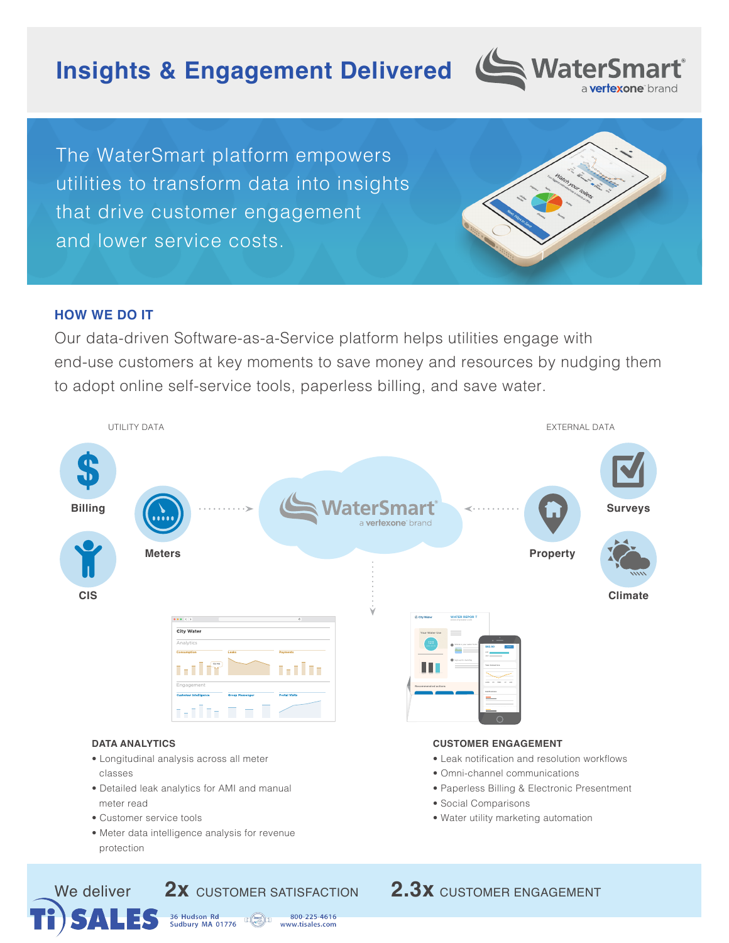# **Insights & Engagement Delivered**



The WaterSmart platform empowers utilities to transform data into insights that drive customer engagement and lower service costs.

# **HOW WE DO IT**

Our data-driven Software-as-a-Service platform helps utilities engage with end-use customers at key moments to save money and resources by nudging them to adopt online self-service tools, paperless billing, and save water.



36 Hudson Rd<br>Sudbury MA 01776 800-225-4616  $\mathbb{E}(\mathbb{Q})$ www.tisales.com